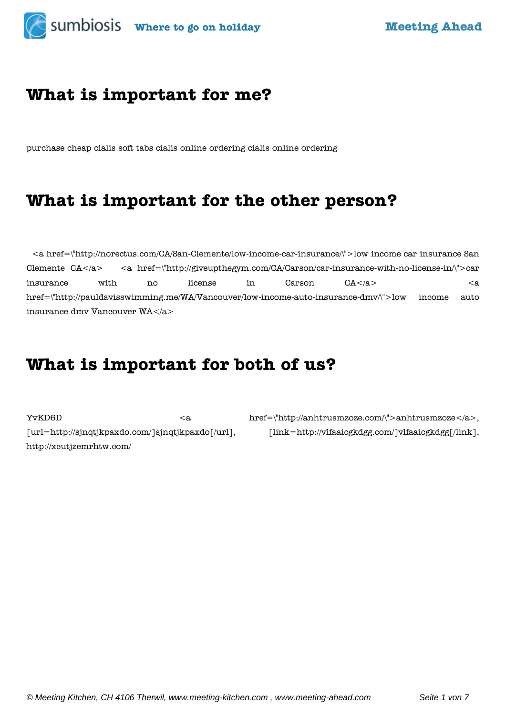

# **What is important for me?**

purchase cheap cialis soft tabs cialis online ordering cialis online ordering

## **What is important for the other person?**

 <a href=\"http://norectus.com/CA/San-Clemente/low-income-car-insurance/\">low income car insurance San Clemente CA</a> <a href=\"http://giveupthegym.com/CA/Carson/car-insurance-with-no-license-in/\">car insurance with no license in  $\text{Carson}$   $\text{CAs}/\text{a}>$   $\leq$ href=\"http://pauldavisswimming.me/WA/Vancouver/low-income-auto-insurance-dmv/\">low income auto insurance dmv Vancouver WA</a>

# **What is important for both of us?**

http://xcutjzemrhtw.com/

YvKD6D <a href=\"http://anhtrusmzoze.com/\">anhtrusmzoze</a>, [url=http://sjnqtjkpaxdo.com/]sjnqtjkpaxdo[/url], [link=http://vlfaaicgkdgg.com/]vlfaaicgkdgg[/link],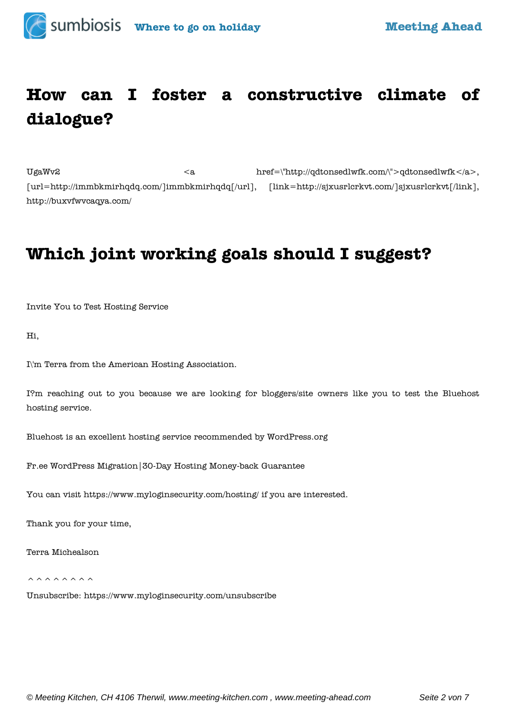

# **How can I foster a constructive climate of dialogue?**

UgaWv2 <a href=\"http://qdtonsedlwfk.com/\">qdtonsedlwfk</a>, [url=http://immbkmirhqdq.com/]immbkmirhqdq[/url], [link=http://sjxusrlcrkvt.com/]sjxusrlcrkvt[/link], http://buxvfwvcaqya.com/

# **Which joint working goals should I suggest?**

Invite You to Test Hosting Service

Hi,

I\'m Terra from the American Hosting Association.

I?m reaching out to you because we are looking for bloggers/site owners like you to test the Bluehost hosting service.

Bluehost is an excellent hosting service recommended by WordPress.org

Fr.ee WordPress Migration|30-Day Hosting Money-back Guarantee

You can visit https://www.myloginsecurity.com/hosting/ if you are interested.

Thank you for your time,

Terra Michealson

 $\wedge\wedge\wedge\wedge\wedge\wedge\wedge\wedge\wedge$ 

Unsubscribe: https://www.myloginsecurity.com/unsubscribe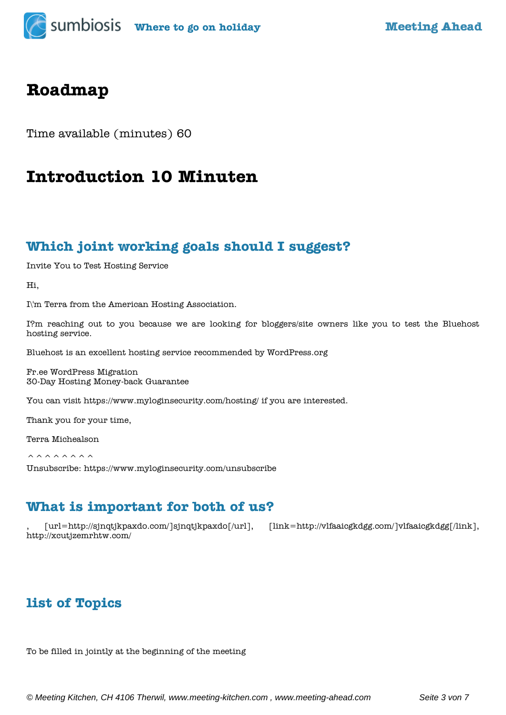

# **Roadmap**

Time available (minutes) 60

# **Introduction 10 Minuten**

## **Which joint working goals should I suggest?**

Invite You to Test Hosting Service

Hi,

I\'m Terra from the American Hosting Association.

I?m reaching out to you because we are looking for bloggers/site owners like you to test the Bluehost hosting service.

Bluehost is an excellent hosting service recommended by WordPress.org

Fr.ee WordPress Migration 30-Day Hosting Money-back Guarantee

You can visit https://www.myloginsecurity.com/hosting/ if you are interested.

Thank you for your time,

Terra Michealson

 $\lambda$ Unsubscribe: https://www.myloginsecurity.com/unsubscribe

### **What is important for both of us?**

, [url=http://sjnqtjkpaxdo.com/]sjnqtjkpaxdo[/url], [link=http://vlfaaicgkdgg.com/]vlfaaicgkdgg[/link], http://xcutjzemrhtw.com/

## **list of Topics**

To be filled in jointly at the beginning of the meeting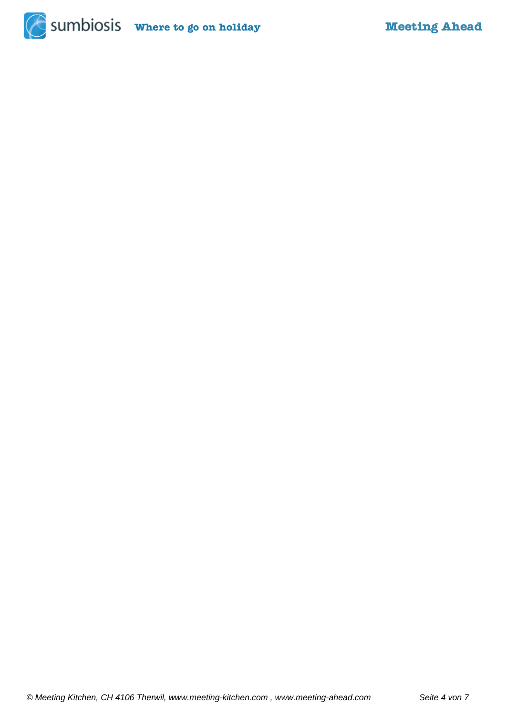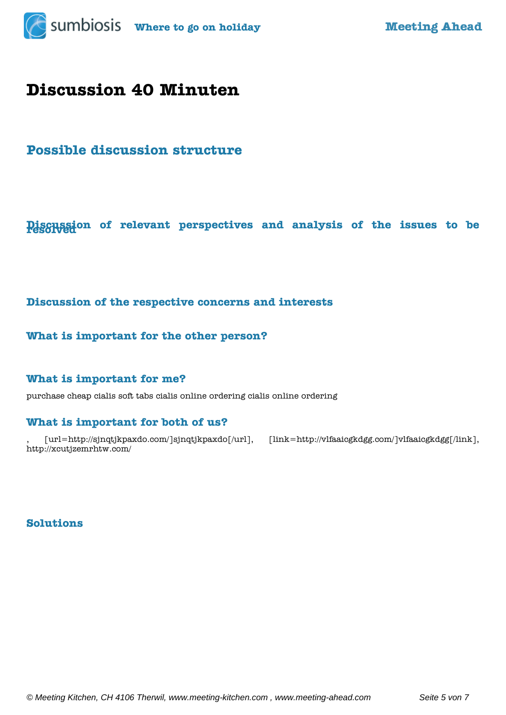

## **Discussion 40 Minuten**

**Possible discussion structure**

**Discussion of relevant perspectives and analysis of the issues to be** 

#### **Discussion of the respective concerns and interests**

**What is important for the other person?**

### **What is important for me?**

purchase cheap cialis soft tabs cialis online ordering cialis online ordering

### **What is important for both of us?**

, [url=http://sjnqtjkpaxdo.com/]sjnqtjkpaxdo[/url], [link=http://vlfaaicgkdgg.com/]vlfaaicgkdgg[/link], http://xcutjzemrhtw.com/

### **Solutions**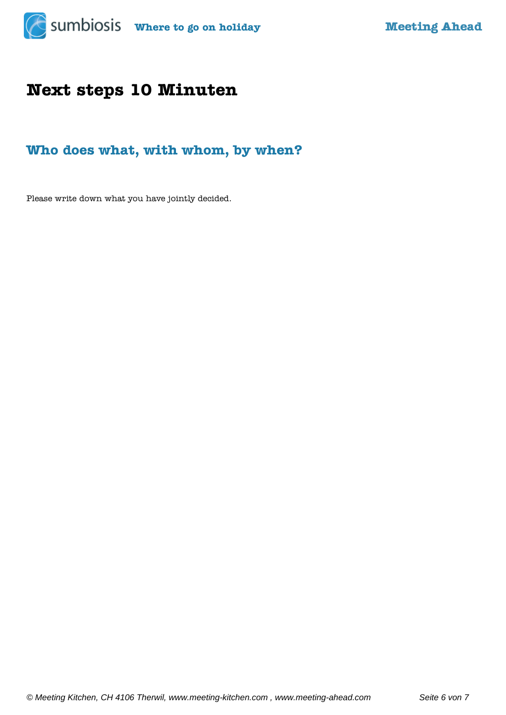

# **Next steps 10 Minuten**

**Who does what, with whom, by when?**

Please write down what you have jointly decided.